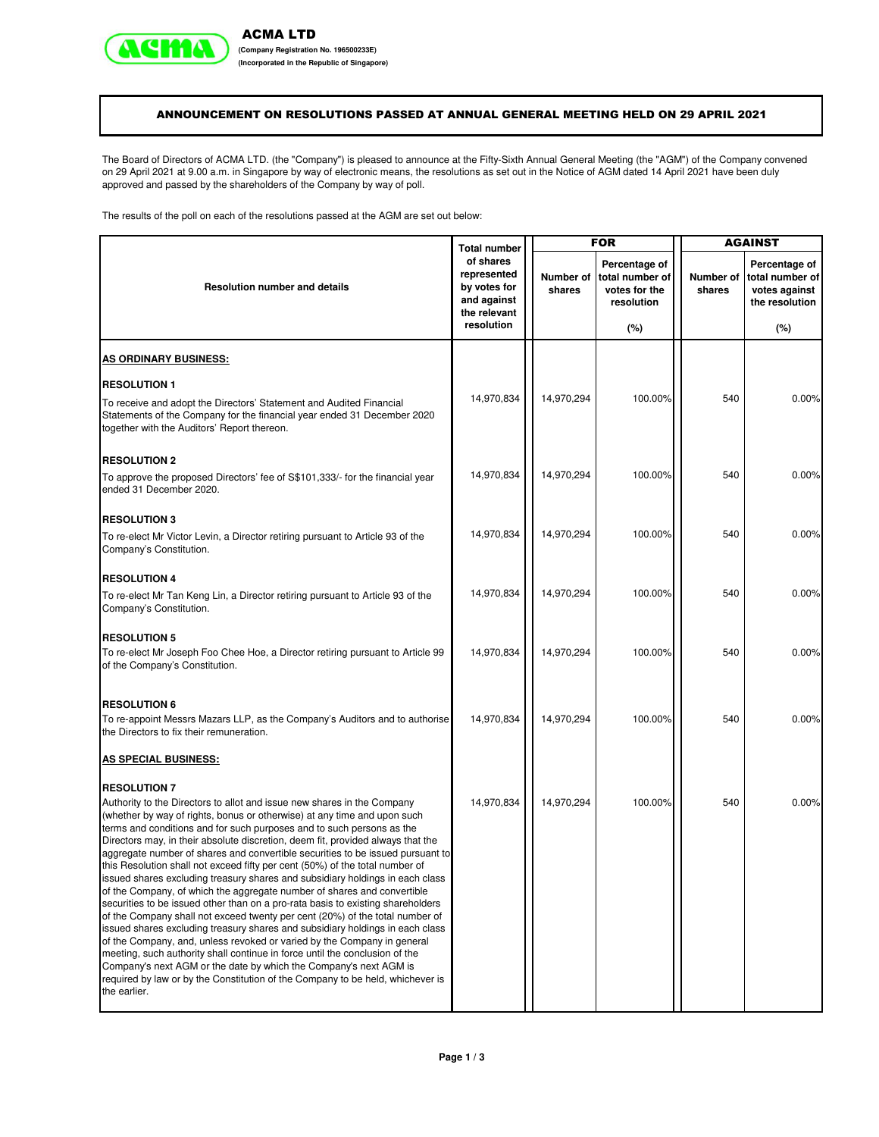

**(Incorporated in the Republic of Singapore)**

## ANNOUNCEMENT ON RESOLUTIONS PASSED AT ANNUAL GENERAL MEETING HELD ON 29 APRIL 2021

The Board of Directors of ACMA LTD. (the "Company") is pleased to announce at the Fifty-Sixth Annual General Meeting (the "AGM") of the Company convened on 29 April 2021 at 9.00 a.m. in Singapore by way of electronic means, the resolutions as set out in the Notice of AGM dated 14 April 2021 have been duly approved and passed by the shareholders of the Company by way of poll.

The results of the poll on each of the resolutions passed at the AGM are set out below:

|                                                                                              |                                                   |                     | <b>FOR</b>                                                      |                     | <b>AGAINST</b>                                                      |  |
|----------------------------------------------------------------------------------------------|---------------------------------------------------|---------------------|-----------------------------------------------------------------|---------------------|---------------------------------------------------------------------|--|
| of shares<br>represented<br>by votes for<br>and against                                      |                                                   | Number of<br>shares | Percentage of<br>total number of<br>votes for the<br>resolution | Number of<br>shares | Percentage of<br>total number of<br>votes against<br>the resolution |  |
| resolution                                                                                   |                                                   |                     | $(\%)$                                                          |                     | (%)                                                                 |  |
|                                                                                              |                                                   |                     |                                                                 |                     |                                                                     |  |
|                                                                                              |                                                   |                     |                                                                 |                     |                                                                     |  |
| 14,970,834                                                                                   |                                                   | 14,970,294          | 100.00%                                                         | 540                 | 0.00%                                                               |  |
|                                                                                              |                                                   |                     |                                                                 |                     |                                                                     |  |
| 14,970,834                                                                                   |                                                   | 14,970,294          | 100.00%                                                         | 540                 | 0.00%                                                               |  |
|                                                                                              |                                                   |                     |                                                                 |                     |                                                                     |  |
| 14,970,834                                                                                   |                                                   | 14,970,294          | 100.00%                                                         | 540                 | 0.00%                                                               |  |
|                                                                                              |                                                   |                     |                                                                 |                     |                                                                     |  |
| 14,970,834                                                                                   |                                                   | 14,970,294          | 100.00%                                                         | 540                 | 0.00%                                                               |  |
|                                                                                              |                                                   |                     |                                                                 |                     |                                                                     |  |
| 14,970,834                                                                                   |                                                   | 14,970,294          | 100.00%                                                         | 540                 | 0.00%                                                               |  |
|                                                                                              |                                                   |                     |                                                                 |                     |                                                                     |  |
|                                                                                              |                                                   |                     |                                                                 |                     | 0.00%                                                               |  |
|                                                                                              |                                                   |                     |                                                                 |                     |                                                                     |  |
|                                                                                              |                                                   |                     |                                                                 |                     |                                                                     |  |
| 14,970,834<br>aggregate number of shares and convertible securities to be issued pursuant to |                                                   | 14,970,294          | 100.00%                                                         | 540                 | 0.00%                                                               |  |
|                                                                                              | <b>Total number</b><br>the relevant<br>14,970,834 |                     | 14,970,294                                                      | 100.00%             | 540                                                                 |  |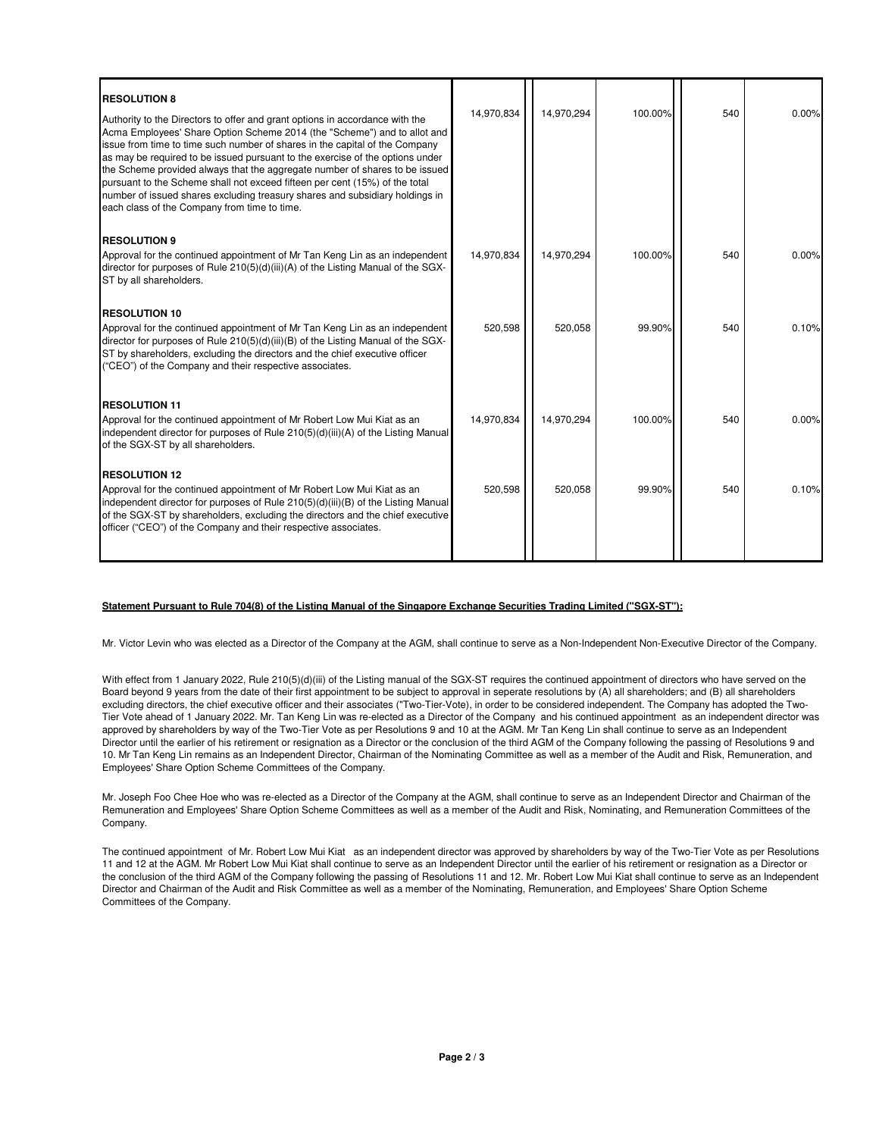| <b>RESOLUTION 8</b><br>Authority to the Directors to offer and grant options in accordance with the<br>Acma Employees' Share Option Scheme 2014 (the "Scheme") and to allot and<br>issue from time to time such number of shares in the capital of the Company<br>as may be required to be issued pursuant to the exercise of the options under<br>the Scheme provided always that the aggregate number of shares to be issued<br>pursuant to the Scheme shall not exceed fifteen per cent (15%) of the total<br>number of issued shares excluding treasury shares and subsidiary holdings in<br>each class of the Company from time to time. | 14.970.834 | 14,970,294 | 100.00% | 540 | 0.00% |
|-----------------------------------------------------------------------------------------------------------------------------------------------------------------------------------------------------------------------------------------------------------------------------------------------------------------------------------------------------------------------------------------------------------------------------------------------------------------------------------------------------------------------------------------------------------------------------------------------------------------------------------------------|------------|------------|---------|-----|-------|
| <b>RESOLUTION 9</b>                                                                                                                                                                                                                                                                                                                                                                                                                                                                                                                                                                                                                           |            |            |         |     |       |
| Approval for the continued appointment of Mr Tan Keng Lin as an independent<br>director for purposes of Rule 210(5)(d)(iii)(A) of the Listing Manual of the SGX-<br>ST by all shareholders.                                                                                                                                                                                                                                                                                                                                                                                                                                                   | 14,970,834 | 14,970,294 | 100.00% | 540 | 0.00% |
| <b>RESOLUTION 10</b>                                                                                                                                                                                                                                                                                                                                                                                                                                                                                                                                                                                                                          |            |            |         |     |       |
| Approval for the continued appointment of Mr Tan Keng Lin as an independent<br>director for purposes of Rule 210(5)(d)(iii)(B) of the Listing Manual of the SGX-<br>ST by shareholders, excluding the directors and the chief executive officer<br>("CEO") of the Company and their respective associates.                                                                                                                                                                                                                                                                                                                                    | 520,598    | 520,058    | 99.90%  | 540 | 0.10% |
| <b>RESOLUTION 11</b>                                                                                                                                                                                                                                                                                                                                                                                                                                                                                                                                                                                                                          |            |            |         |     |       |
| Approval for the continued appointment of Mr Robert Low Mui Kiat as an<br>independent director for purposes of Rule 210(5)(d)(iii)(A) of the Listing Manual<br>of the SGX-ST by all shareholders.                                                                                                                                                                                                                                                                                                                                                                                                                                             | 14.970.834 | 14.970.294 | 100.00% | 540 | 0.00% |
| <b>RESOLUTION 12</b>                                                                                                                                                                                                                                                                                                                                                                                                                                                                                                                                                                                                                          |            |            |         |     |       |
| Approval for the continued appointment of Mr Robert Low Mui Kiat as an<br>independent director for purposes of Rule $210(5)(d)(iii)(B)$ of the Listing Manual<br>of the SGX-ST by shareholders, excluding the directors and the chief executive<br>officer ("CEO") of the Company and their respective associates.                                                                                                                                                                                                                                                                                                                            | 520,598    | 520,058    | 99.90%  | 540 | 0.10% |
|                                                                                                                                                                                                                                                                                                                                                                                                                                                                                                                                                                                                                                               |            |            |         |     |       |

#### **Statement Pursuant to Rule 704(8) of the Listing Manual of the Singapore Exchange Securities Trading Limited ("SGX-ST"):**

Mr. Victor Levin who was elected as a Director of the Company at the AGM, shall continue to serve as a Non-Independent Non-Executive Director of the Company.

With effect from 1 January 2022, Rule 210(5)(d)(iii) of the Listing manual of the SGX-ST requires the continued appointment of directors who have served on the Board beyond 9 years from the date of their first appointment to be subject to approval in seperate resolutions by (A) all shareholders; and (B) all shareholders excluding directors, the chief executive officer and their associates ("Two-Tier-Vote), in order to be considered independent. The Company has adopted the Two-Tier Vote ahead of 1 January 2022. Mr. Tan Keng Lin was re-elected as a Director of the Company and his continued appointment as an independent director was approved by shareholders by way of the Two-Tier Vote as per Resolutions 9 and 10 at the AGM. Mr Tan Keng Lin shall continue to serve as an Independent Director until the earlier of his retirement or resignation as a Director or the conclusion of the third AGM of the Company following the passing of Resolutions 9 and 10. Mr Tan Keng Lin remains as an Independent Director, Chairman of the Nominating Committee as well as a member of the Audit and Risk, Remuneration, and Employees' Share Option Scheme Committees of the Company.

Mr. Joseph Foo Chee Hoe who was re-elected as a Director of the Company at the AGM, shall continue to serve as an Independent Director and Chairman of the Remuneration and Employees' Share Option Scheme Committees as well as a member of the Audit and Risk, Nominating, and Remuneration Committees of the Company.

The continued appointment of Mr. Robert Low Mui Kiat as an independent director was approved by shareholders by way of the Two-Tier Vote as per Resolutions 11 and 12 at the AGM. Mr Robert Low Mui Kiat shall continue to serve as an Independent Director until the earlier of his retirement or resignation as a Director or the conclusion of the third AGM of the Company following the passing of Resolutions 11 and 12. Mr. Robert Low Mui Kiat shall continue to serve as an Independent Director and Chairman of the Audit and Risk Committee as well as a member of the Nominating, Remuneration, and Employees' Share Option Scheme Committees of the Company.